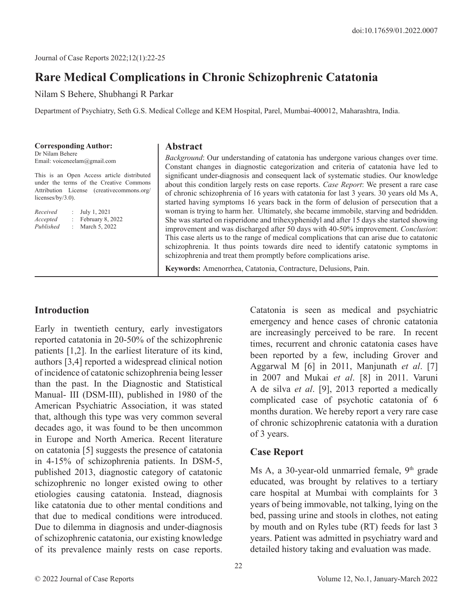# **Rare Medical Complications in Chronic Schizophrenic Catatonia**

Nilam S Behere, Shubhangi R Parkar

Department of Psychiatry, Seth G.S. Medical College and KEM Hospital, Parel, Mumbai-400012, Maharashtra, India.

**Corresponding Author:** Dr Nilam Behere Email: voiceneelam@gmail.com

This is an Open Access article distributed under the terms of the Creative Commons Attribution License (creativecommons.org/ licenses/by/3.0).

| Received  | ÷. | July 1, 2021     |
|-----------|----|------------------|
| Accepted  |    | February 8, 2022 |
| Published | ÷. | March 5, 2022    |

#### **Abstract**

*Background*: Our understanding of catatonia has undergone various changes over time. Constant changes in diagnostic categorization and criteria of catatonia have led to significant under-diagnosis and consequent lack of systematic studies. Our knowledge about this condition largely rests on case reports. *Case Report*: We present a rare case of chronic schizophrenia of 16 years with catatonia for last 3 years. 30 years old Ms A, started having symptoms 16 years back in the form of delusion of persecution that a woman is trying to harm her. Ultimately, she became immobile, starving and bedridden. She was started on risperidone and trihexyphenidyl and after 15 days she started showing improvement and was discharged after 50 days with 40-50% improvement. *Conclusion*: This case alerts us to the range of medical complications that can arise due to catatonic schizophrenia. It thus points towards dire need to identify catatonic symptoms in schizophrenia and treat them promptly before complications arise.

**Keywords:** Amenorrhea, Catatonia, Contracture, Delusions, Pain.

#### **Introduction**

Early in twentieth century, early investigators reported catatonia in 20-50% of the schizophrenic patients [1,2]. In the earliest literature of its kind, authors [3,4] reported a widespread clinical notion of incidence of catatonic schizophrenia being lesser than the past. In the Diagnostic and Statistical Manual- III (DSM-III), published in 1980 of the American Psychiatric Association, it was stated that, although this type was very common several decades ago, it was found to be then uncommon in Europe and North America. Recent literature on catatonia [5] suggests the presence of catatonia in 4-15% of schizophrenia patients. In DSM-5, published 2013, diagnostic category of catatonic schizophrenic no longer existed owing to other etiologies causing catatonia. Instead, diagnosis like catatonia due to other mental conditions and that due to medical conditions were introduced. Due to dilemma in diagnosis and under-diagnosis of schizophrenic catatonia, our existing knowledge of its prevalence mainly rests on case reports.

Catatonia is seen as medical and psychiatric emergency and hence cases of chronic catatonia are increasingly perceived to be rare. In recent times, recurrent and chronic catatonia cases have been reported by a few, including Grover and Aggarwal M [6] in 2011, Manjunath *et al*. [7] in 2007 and Mukai *et al*. [8] in 2011. Varuni A de silva *et al*. [9], 2013 reported a medically complicated case of psychotic catatonia of 6 months duration. We hereby report a very rare case of chronic schizophrenic catatonia with a duration of 3 years.

### **Case Report**

Ms A, a 30-year-old unmarried female,  $9<sup>th</sup>$  grade educated, was brought by relatives to a tertiary care hospital at Mumbai with complaints for 3 years of being immovable, not talking, lying on the bed, passing urine and stools in clothes, not eating by mouth and on Ryles tube (RT) feeds for last 3 years. Patient was admitted in psychiatry ward and detailed history taking and evaluation was made.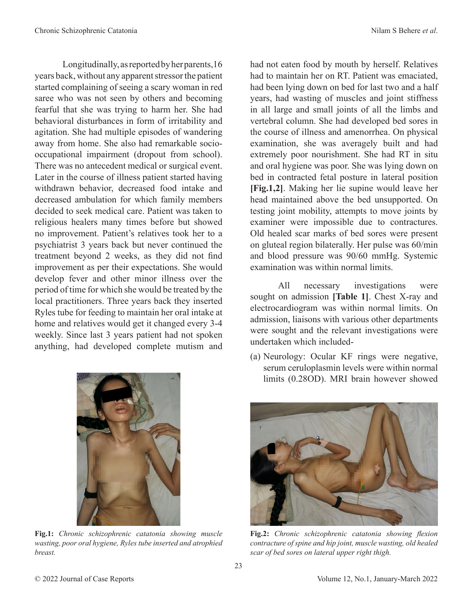Longitudinally, as reported by her parents,16 years back, without any apparent stressor the patient started complaining of seeing a scary woman in red saree who was not seen by others and becoming fearful that she was trying to harm her. She had behavioral disturbances in form of irritability and agitation. She had multiple episodes of wandering away from home. She also had remarkable sociooccupational impairment (dropout from school). There was no antecedent medical or surgical event. Later in the course of illness patient started having withdrawn behavior, decreased food intake and decreased ambulation for which family members decided to seek medical care. Patient was taken to religious healers many times before but showed no improvement. Patient's relatives took her to a psychiatrist 3 years back but never continued the treatment beyond 2 weeks, as they did not find improvement as per their expectations. She would develop fever and other minor illness over the period of time for which she would be treated by the local practitioners. Three years back they inserted Ryles tube for feeding to maintain her oral intake at home and relatives would get it changed every 3-4 weekly. Since last 3 years patient had not spoken

anything, had developed complete mutism and

**Fig.1:** *Chronic schizophrenic catatonia showing muscle wasting, poor oral hygiene, Ryles tube inserted and atrophied breast.*

had not eaten food by mouth by herself. Relatives had to maintain her on RT. Patient was emaciated, had been lying down on bed for last two and a half years, had wasting of muscles and joint stiffness in all large and small joints of all the limbs and vertebral column. She had developed bed sores in the course of illness and amenorrhea. On physical examination, she was averagely built and had extremely poor nourishment. She had RT in situ and oral hygiene was poor. She was lying down on bed in contracted fetal posture in lateral position **[Fig.1,2]**. Making her lie supine would leave her head maintained above the bed unsupported. On testing joint mobility, attempts to move joints by examiner were impossible due to contractures. Old healed scar marks of bed sores were present on gluteal region bilaterally. Her pulse was 60/min and blood pressure was 90/60 mmHg. Systemic examination was within normal limits.

All necessary investigations were sought on admission **[Table 1]**. Chest X-ray and electrocardiogram was within normal limits. On admission, liaisons with various other departments were sought and the relevant investigations were undertaken which included-

(a) Neurology: Ocular KF rings were negative, serum ceruloplasmin levels were within normal limits (0.28OD). MRI brain however showed



*contracture of spine and hip joint, muscle wasting, old healed scar of bed sores on lateral upper right thigh.*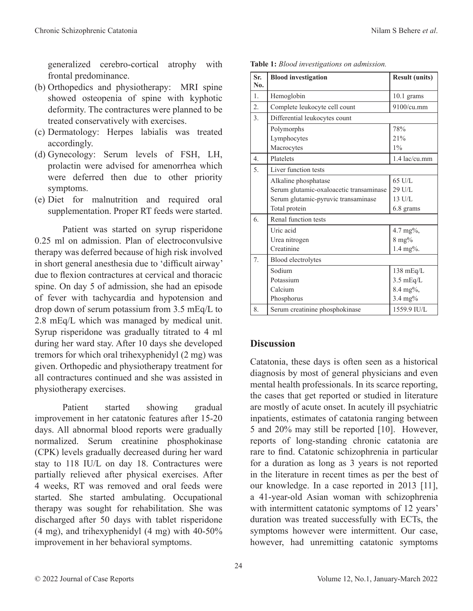generalized cerebro-cortical atrophy with frontal predominance.

- (b) Orthopedics and physiotherapy: MRI spine showed osteopenia of spine with kyphotic deformity. The contractures were planned to be treated conservatively with exercises.
- (c) Dermatology: Herpes labialis was treated accordingly.
- (d) Gynecology: Serum levels of FSH, LH, prolactin were advised for amenorrhea which were deferred then due to other priority symptoms.
- (e) Diet for malnutrition and required oral supplementation. Proper RT feeds were started.

Patient was started on syrup risperidone 0.25 ml on admission. Plan of electroconvulsive therapy was deferred because of high risk involved in short general anesthesia due to 'difficult airway' due to flexion contractures at cervical and thoracic spine. On day 5 of admission, she had an episode of fever with tachycardia and hypotension and drop down of serum potassium from 3.5 mEq/L to 2.8 mEq/L which was managed by medical unit. Syrup risperidone was gradually titrated to 4 ml during her ward stay. After 10 days she developed tremors for which oral trihexyphenidyl (2 mg) was given. Orthopedic and physiotherapy treatment for all contractures continued and she was assisted in physiotherapy exercises.

Patient started showing gradual improvement in her catatonic features after 15-20 days. All abnormal blood reports were gradually normalized. Serum creatinine phosphokinase (CPK) levels gradually decreased during her ward stay to 118 IU/L on day 18. Contractures were partially relieved after physical exercises. After 4 weeks, RT was removed and oral feeds were started. She started ambulating. Occupational therapy was sought for rehabilitation. She was discharged after 50 days with tablet risperidone (4 mg), and trihexyphenidyl (4 mg) with 40-50% improvement in her behavioral symptoms.

| No.              |                                         |                     |  |  |
|------------------|-----------------------------------------|---------------------|--|--|
| $\mathbf{1}$ .   | Hemoglobin                              | $10.1$ grams        |  |  |
| $\overline{2}$ . | Complete leukocyte cell count           | $9100/cu$ .mm       |  |  |
| 3.               | Differential leukocytes count           |                     |  |  |
|                  | Polymorphs                              | 78%                 |  |  |
|                  | Lymphocytes                             | 21%                 |  |  |
|                  | Macrocytes                              | $1\%$               |  |  |
| $\overline{4}$   | Platelets                               | 1.4 lac/cu.mm       |  |  |
| 5.               | Liver function tests                    |                     |  |  |
|                  | Alkaline phosphatase                    | 65 U/L              |  |  |
|                  | Serum glutamic-oxaloacetic transaminase | 29 U/L              |  |  |
|                  | Serum glutamic-pyruvic transaminase     | 13 U/L              |  |  |
|                  | Total protein                           | 6.8 grams           |  |  |
| 6.               | Renal function tests                    |                     |  |  |
|                  | Uric acid                               | 4.7 mg%,            |  |  |
|                  | Urea nitrogen                           | $8 \text{ mg}$ %    |  |  |
|                  | Creatinine                              | 1.4 mg%.            |  |  |
| 7.               | Blood electrolytes                      |                     |  |  |
|                  | Sodium                                  | $138 \text{ mEq/L}$ |  |  |
|                  | Potassium                               | $3.5 \text{ mEq/L}$ |  |  |
|                  | Calcium                                 | 8.4 mg%,            |  |  |
|                  | Phosphorus                              | 3.4 mg%             |  |  |
| 8.               | Serum creatinine phosphokinase          | 1559.9 IU/L         |  |  |

**Sr.** | Blood investigation | Result (units)

**Table 1:** *Blood investigations on admission.*

### **Discussion**

Catatonia, these days is often seen as a historical diagnosis by most of general physicians and even mental health professionals. In its scarce reporting, the cases that get reported or studied in literature are mostly of acute onset. In acutely ill psychiatric inpatients, estimates of catatonia ranging between 5 and 20% may still be reported [10]. However, reports of long-standing chronic catatonia are rare to find. Catatonic schizophrenia in particular for a duration as long as 3 years is not reported in the literature in recent times as per the best of our knowledge. In a case reported in 2013 [11], a 41-year-old Asian woman with schizophrenia with intermittent catatonic symptoms of 12 years' duration was treated successfully with ECTs, the symptoms however were intermittent. Our case, however, had unremitting catatonic symptoms